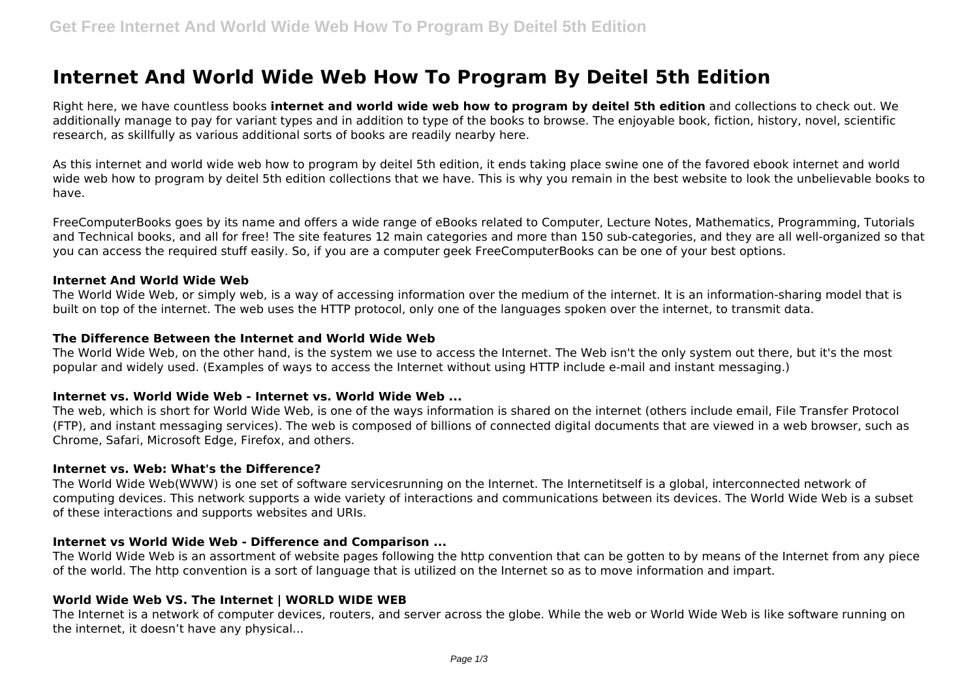# **Internet And World Wide Web How To Program By Deitel 5th Edition**

Right here, we have countless books **internet and world wide web how to program by deitel 5th edition** and collections to check out. We additionally manage to pay for variant types and in addition to type of the books to browse. The enjoyable book, fiction, history, novel, scientific research, as skillfully as various additional sorts of books are readily nearby here.

As this internet and world wide web how to program by deitel 5th edition, it ends taking place swine one of the favored ebook internet and world wide web how to program by deitel 5th edition collections that we have. This is why you remain in the best website to look the unbelievable books to have.

FreeComputerBooks goes by its name and offers a wide range of eBooks related to Computer, Lecture Notes, Mathematics, Programming, Tutorials and Technical books, and all for free! The site features 12 main categories and more than 150 sub-categories, and they are all well-organized so that you can access the required stuff easily. So, if you are a computer geek FreeComputerBooks can be one of your best options.

#### **Internet And World Wide Web**

The World Wide Web, or simply web, is a way of accessing information over the medium of the internet. It is an information-sharing model that is built on top of the internet. The web uses the HTTP protocol, only one of the languages spoken over the internet, to transmit data.

## **The Difference Between the Internet and World Wide Web**

The World Wide Web, on the other hand, is the system we use to access the Internet. The Web isn't the only system out there, but it's the most popular and widely used. (Examples of ways to access the Internet without using HTTP include e-mail and instant messaging.)

# **Internet vs. World Wide Web - Internet vs. World Wide Web ...**

The web, which is short for World Wide Web, is one of the ways information is shared on the internet (others include email, File Transfer Protocol (FTP), and instant messaging services). The web is composed of billions of connected digital documents that are viewed in a web browser, such as Chrome, Safari, Microsoft Edge, Firefox, and others.

#### **Internet vs. Web: What's the Difference?**

The World Wide Web(WWW) is one set of software servicesrunning on the Internet. The Internetitself is a global, interconnected network of computing devices. This network supports a wide variety of interactions and communications between its devices. The World Wide Web is a subset of these interactions and supports websites and URIs.

#### **Internet vs World Wide Web - Difference and Comparison ...**

The World Wide Web is an assortment of website pages following the http convention that can be gotten to by means of the Internet from any piece of the world. The http convention is a sort of language that is utilized on the Internet so as to move information and impart.

# **World Wide Web VS. The Internet | WORLD WIDE WEB**

The Internet is a network of computer devices, routers, and server across the globe. While the web or World Wide Web is like software running on the internet, it doesn't have any physical...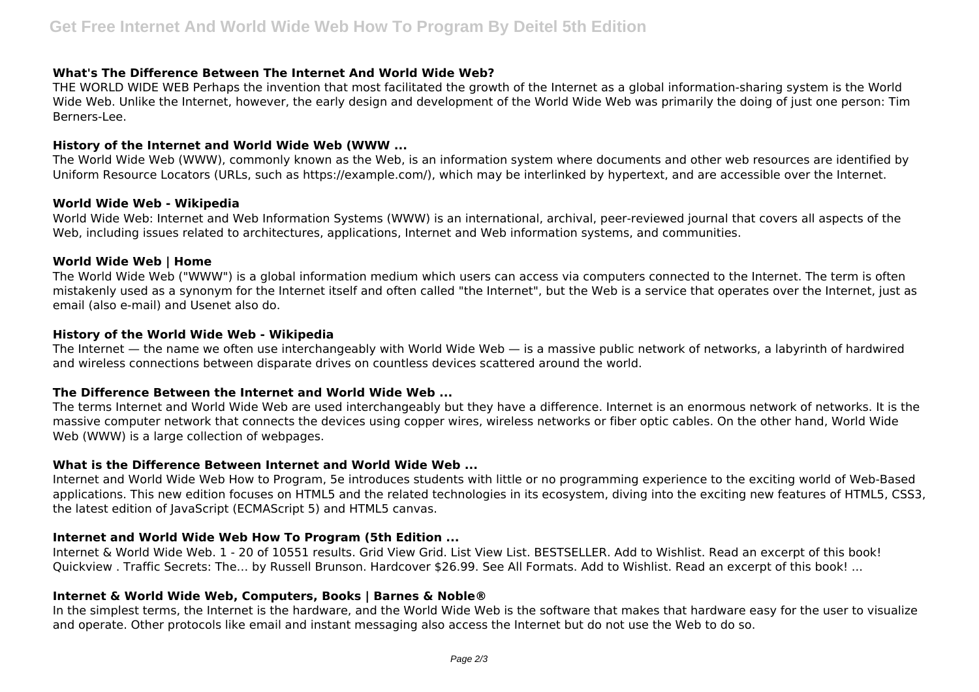# **What's The Difference Between The Internet And World Wide Web?**

THE WORLD WIDE WEB Perhaps the invention that most facilitated the growth of the Internet as a global information-sharing system is the World Wide Web. Unlike the Internet, however, the early design and development of the World Wide Web was primarily the doing of just one person: Tim Berners-Lee.

#### **History of the Internet and World Wide Web (WWW ...**

The World Wide Web (WWW), commonly known as the Web, is an information system where documents and other web resources are identified by Uniform Resource Locators (URLs, such as https://example.com/), which may be interlinked by hypertext, and are accessible over the Internet.

#### **World Wide Web - Wikipedia**

World Wide Web: Internet and Web Information Systems (WWW) is an international, archival, peer-reviewed journal that covers all aspects of the Web, including issues related to architectures, applications, Internet and Web information systems, and communities.

#### **World Wide Web | Home**

The World Wide Web ("WWW") is a global information medium which users can access via computers connected to the Internet. The term is often mistakenly used as a synonym for the Internet itself and often called "the Internet", but the Web is a service that operates over the Internet, just as email (also e-mail) and Usenet also do.

## **History of the World Wide Web - Wikipedia**

The Internet — the name we often use interchangeably with World Wide Web — is a massive public network of networks, a labyrinth of hardwired and wireless connections between disparate drives on countless devices scattered around the world.

#### **The Difference Between the Internet and World Wide Web ...**

The terms Internet and World Wide Web are used interchangeably but they have a difference. Internet is an enormous network of networks. It is the massive computer network that connects the devices using copper wires, wireless networks or fiber optic cables. On the other hand, World Wide Web (WWW) is a large collection of webpages.

#### **What is the Difference Between Internet and World Wide Web ...**

Internet and World Wide Web How to Program, 5e introduces students with little or no programming experience to the exciting world of Web-Based applications. This new edition focuses on HTML5 and the related technologies in its ecosystem, diving into the exciting new features of HTML5, CSS3, the latest edition of JavaScript (ECMAScript 5) and HTML5 canvas.

# **Internet and World Wide Web How To Program (5th Edition ...**

Internet & World Wide Web. 1 - 20 of 10551 results. Grid View Grid. List View List. BESTSELLER. Add to Wishlist. Read an excerpt of this book! Quickview . Traffic Secrets: The… by Russell Brunson. Hardcover \$26.99. See All Formats. Add to Wishlist. Read an excerpt of this book! ...

# **Internet & World Wide Web, Computers, Books | Barnes & Noble®**

In the simplest terms, the Internet is the hardware, and the World Wide Web is the software that makes that hardware easy for the user to visualize and operate. Other protocols like email and instant messaging also access the Internet but do not use the Web to do so.